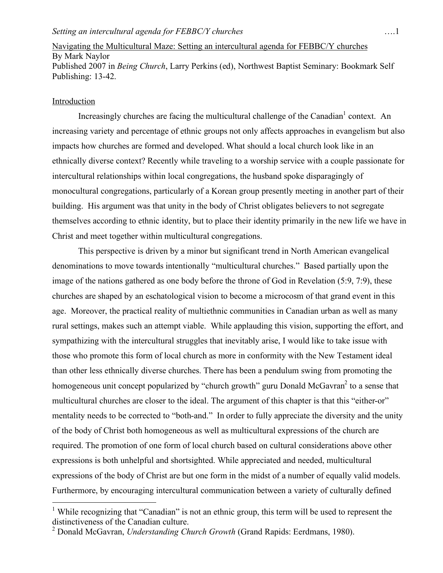## Navigating the Multicultural Maze: Setting an intercultural agenda for FEBBC/Y churches By Mark Naylor Published 2007 in *Being Church*, Larry Perkins (ed), Northwest Baptist Seminary: Bookmark Self Publishing: 13-42.

## Introduction

Increasingly churches are facing the multicultural challenge of the Canadian<sup>1</sup> context. An increasing variety and percentage of ethnic groups not only affects approaches in evangelism but also impacts how churches are formed and developed. What should a local church look like in an ethnically diverse context? Recently while traveling to a worship service with a couple passionate for intercultural relationships within local congregations, the husband spoke disparagingly of monocultural congregations, particularly of a Korean group presently meeting in another part of their building. His argument was that unity in the body of Christ obligates believers to not segregate themselves according to ethnic identity, but to place their identity primarily in the new life we have in Christ and meet together within multicultural congregations.

This perspective is driven by a minor but significant trend in North American evangelical denominations to move towards intentionally "multicultural churches." Based partially upon the image of the nations gathered as one body before the throne of God in Revelation (5:9, 7:9), these churches are shaped by an eschatological vision to become a microcosm of that grand event in this age. Moreover, the practical reality of multiethnic communities in Canadian urban as well as many rural settings, makes such an attempt viable. While applauding this vision, supporting the effort, and sympathizing with the intercultural struggles that inevitably arise, I would like to take issue with those who promote this form of local church as more in conformity with the New Testament ideal than other less ethnically diverse churches. There has been a pendulum swing from promoting the homogeneous unit concept popularized by "church growth" guru Donald McGavran<sup>2</sup> to a sense that multicultural churches are closer to the ideal. The argument of this chapter is that this "either-or" mentality needs to be corrected to "both-and." In order to fully appreciate the diversity and the unity of the body of Christ both homogeneous as well as multicultural expressions of the church are required. The promotion of one form of local church based on cultural considerations above other expressions is both unhelpful and shortsighted. While appreciated and needed, multicultural expressions of the body of Christ are but one form in the midst of a number of equally valid models. Furthermore, by encouraging intercultural communication between a variety of culturally defined

<sup>&</sup>lt;sup>1</sup> While recognizing that "Canadian" is not an ethnic group, this term will be used to represent the distinctiveness of the Canadian culture.

<sup>2</sup> Donald McGavran, *Understanding Church Growth* (Grand Rapids: Eerdmans, 1980).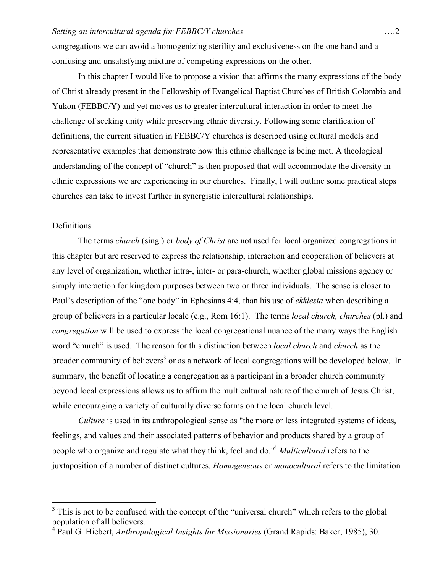congregations we can avoid a homogenizing sterility and exclusiveness on the one hand and a confusing and unsatisfying mixture of competing expressions on the other.

In this chapter I would like to propose a vision that affirms the many expressions of the body of Christ already present in the Fellowship of Evangelical Baptist Churches of British Colombia and Yukon (FEBBC/Y) and yet moves us to greater intercultural interaction in order to meet the challenge of seeking unity while preserving ethnic diversity. Following some clarification of definitions, the current situation in FEBBC/Y churches is described using cultural models and representative examples that demonstrate how this ethnic challenge is being met. A theological understanding of the concept of "church" is then proposed that will accommodate the diversity in ethnic expressions we are experiencing in our churches. Finally, I will outline some practical steps churches can take to invest further in synergistic intercultural relationships.

#### **Definitions**

The terms *church* (sing.) or *body of Christ* are not used for local organized congregations in this chapter but are reserved to express the relationship, interaction and cooperation of believers at any level of organization, whether intra-, inter- or para-church, whether global missions agency or simply interaction for kingdom purposes between two or three individuals. The sense is closer to Paul's description of the "one body" in Ephesians 4:4, than his use of *ekklesia* when describing a group of believers in a particular locale (e.g., Rom 16:1). The terms *local church, churches* (pl.) and *congregation* will be used to express the local congregational nuance of the many ways the English word "church" is used. The reason for this distinction between *local church* and *church* as the broader community of believers<sup>3</sup> or as a network of local congregations will be developed below. In summary, the benefit of locating a congregation as a participant in a broader church community beyond local expressions allows us to affirm the multicultural nature of the church of Jesus Christ, while encouraging a variety of culturally diverse forms on the local church level.

*Culture* is used in its anthropological sense as "the more or less integrated systems of ideas, feelings, and values and their associated patterns of behavior and products shared by a group of people who organize and regulate what they think, feel and do."4 *Multicultural* refers to the juxtaposition of a number of distinct cultures. *Homogeneous* or *monocultural* refers to the limitation

<sup>&</sup>lt;sup>3</sup> This is not to be confused with the concept of the "universal church" which refers to the global population of all believers.

<sup>4</sup> Paul G. Hiebert, *Anthropological Insights for Missionaries* (Grand Rapids: Baker, 1985), 30.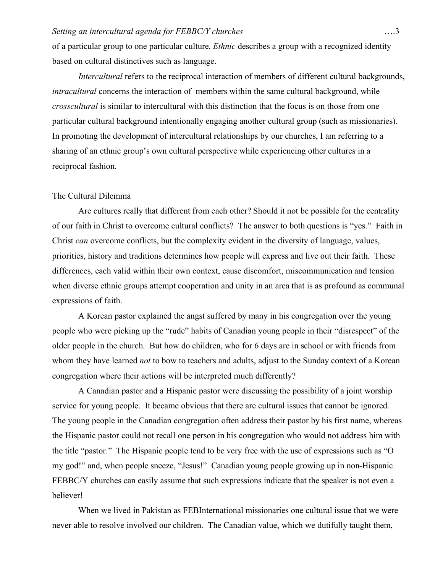of a particular group to one particular culture. *Ethnic* describes a group with a recognized identity based on cultural distinctives such as language.

*Intercultural* refers to the reciprocal interaction of members of different cultural backgrounds, *intracultural* concerns the interaction of members within the same cultural background, while *crosscultural* is similar to intercultural with this distinction that the focus is on those from one particular cultural background intentionally engaging another cultural group (such as missionaries). In promoting the development of intercultural relationships by our churches, I am referring to a sharing of an ethnic group's own cultural perspective while experiencing other cultures in a reciprocal fashion.

#### The Cultural Dilemma

Are cultures really that different from each other? Should it not be possible for the centrality of our faith in Christ to overcome cultural conflicts? The answer to both questions is "yes." Faith in Christ *can* overcome conflicts, but the complexity evident in the diversity of language, values, priorities, history and traditions determines how people will express and live out their faith. These differences, each valid within their own context, cause discomfort, miscommunication and tension when diverse ethnic groups attempt cooperation and unity in an area that is as profound as communal expressions of faith.

A Korean pastor explained the angst suffered by many in his congregation over the young people who were picking up the "rude" habits of Canadian young people in their "disrespect" of the older people in the church. But how do children, who for 6 days are in school or with friends from whom they have learned *not* to bow to teachers and adults, adjust to the Sunday context of a Korean congregation where their actions will be interpreted much differently?

A Canadian pastor and a Hispanic pastor were discussing the possibility of a joint worship service for young people. It became obvious that there are cultural issues that cannot be ignored. The young people in the Canadian congregation often address their pastor by his first name, whereas the Hispanic pastor could not recall one person in his congregation who would not address him with the title "pastor." The Hispanic people tend to be very free with the use of expressions such as "O my god!" and, when people sneeze, "Jesus!" Canadian young people growing up in non-Hispanic FEBBC/Y churches can easily assume that such expressions indicate that the speaker is not even a believer!

When we lived in Pakistan as FEBInternational missionaries one cultural issue that we were never able to resolve involved our children. The Canadian value, which we dutifully taught them,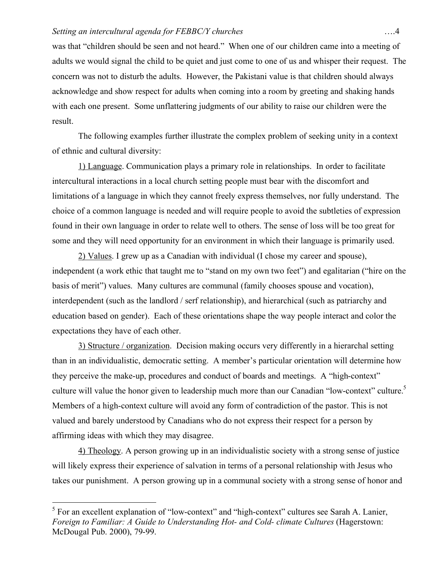was that "children should be seen and not heard." When one of our children came into a meeting of adults we would signal the child to be quiet and just come to one of us and whisper their request. The concern was not to disturb the adults. However, the Pakistani value is that children should always acknowledge and show respect for adults when coming into a room by greeting and shaking hands with each one present. Some unflattering judgments of our ability to raise our children were the result.

The following examples further illustrate the complex problem of seeking unity in a context of ethnic and cultural diversity:

1) Language. Communication plays a primary role in relationships. In order to facilitate intercultural interactions in a local church setting people must bear with the discomfort and limitations of a language in which they cannot freely express themselves, nor fully understand. The choice of a common language is needed and will require people to avoid the subtleties of expression found in their own language in order to relate well to others. The sense of loss will be too great for some and they will need opportunity for an environment in which their language is primarily used.

2) Values. I grew up as a Canadian with individual (I chose my career and spouse), independent (a work ethic that taught me to "stand on my own two feet") and egalitarian ("hire on the basis of merit") values. Many cultures are communal (family chooses spouse and vocation), interdependent (such as the landlord / serf relationship), and hierarchical (such as patriarchy and education based on gender). Each of these orientations shape the way people interact and color the expectations they have of each other.

3) Structure / organization. Decision making occurs very differently in a hierarchal setting than in an individualistic, democratic setting. A member's particular orientation will determine how they perceive the make-up, procedures and conduct of boards and meetings. A "high-context" culture will value the honor given to leadership much more than our Canadian "low-context" culture.<sup>5</sup> Members of a high-context culture will avoid any form of contradiction of the pastor. This is not valued and barely understood by Canadians who do not express their respect for a person by affirming ideas with which they may disagree.

4) Theology. A person growing up in an individualistic society with a strong sense of justice will likely express their experience of salvation in terms of a personal relationship with Jesus who takes our punishment. A person growing up in a communal society with a strong sense of honor and

<sup>&</sup>lt;sup>5</sup> For an excellent explanation of "low-context" and "high-context" cultures see Sarah A. Lanier, *Foreign to Familiar: A Guide to Understanding Hot- and Cold- climate Cultures* (Hagerstown: McDougal Pub. 2000), 79-99.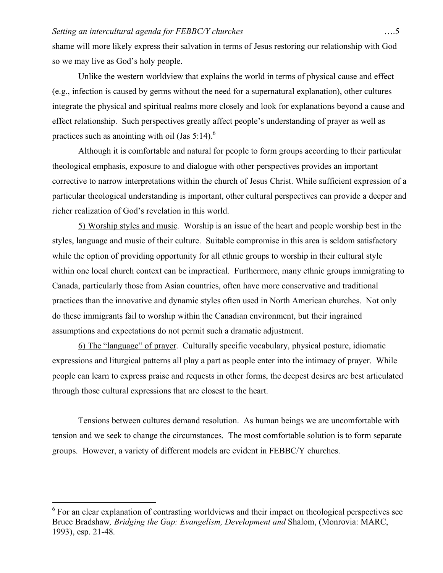shame will more likely express their salvation in terms of Jesus restoring our relationship with God so we may live as God's holy people.

Unlike the western worldview that explains the world in terms of physical cause and effect (e.g., infection is caused by germs without the need for a supernatural explanation), other cultures integrate the physical and spiritual realms more closely and look for explanations beyond a cause and effect relationship. Such perspectives greatly affect people's understanding of prayer as well as practices such as anointing with oil (Jas  $5:14$ ).<sup>6</sup>

Although it is comfortable and natural for people to form groups according to their particular theological emphasis, exposure to and dialogue with other perspectives provides an important corrective to narrow interpretations within the church of Jesus Christ. While sufficient expression of a particular theological understanding is important, other cultural perspectives can provide a deeper and richer realization of God's revelation in this world.

5) Worship styles and music. Worship is an issue of the heart and people worship best in the styles, language and music of their culture. Suitable compromise in this area is seldom satisfactory while the option of providing opportunity for all ethnic groups to worship in their cultural style within one local church context can be impractical. Furthermore, many ethnic groups immigrating to Canada, particularly those from Asian countries, often have more conservative and traditional practices than the innovative and dynamic styles often used in North American churches. Not only do these immigrants fail to worship within the Canadian environment, but their ingrained assumptions and expectations do not permit such a dramatic adjustment.

6) The "language" of prayer. Culturally specific vocabulary, physical posture, idiomatic expressions and liturgical patterns all play a part as people enter into the intimacy of prayer. While people can learn to express praise and requests in other forms, the deepest desires are best articulated through those cultural expressions that are closest to the heart.

Tensions between cultures demand resolution. As human beings we are uncomfortable with tension and we seek to change the circumstances. The most comfortable solution is to form separate groups. However, a variety of different models are evident in FEBBC/Y churches.

<sup>&</sup>lt;sup>6</sup> For an clear explanation of contrasting worldviews and their impact on theological perspectives see Bruce Bradshaw*, Bridging the Gap: Evangelism, Development and* Shalom, (Monrovia: MARC, 1993), esp. 21-48.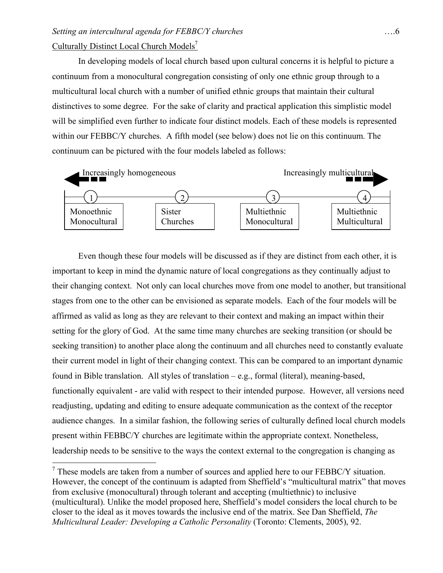# *Setting an intercultural agenda for FEBBC/Y churches* ….6 Culturally Distinct Local Church Models<sup>7</sup>

In developing models of local church based upon cultural concerns it is helpful to picture a continuum from a monocultural congregation consisting of only one ethnic group through to a multicultural local church with a number of unified ethnic groups that maintain their cultural distinctives to some degree. For the sake of clarity and practical application this simplistic model will be simplified even further to indicate four distinct models. Each of these models is represented within our FEBBC/Y churches. A fifth model (see below) does not lie on this continuum. The continuum can be pictured with the four models labeled as follows:



Even though these four models will be discussed as if they are distinct from each other, it is important to keep in mind the dynamic nature of local congregations as they continually adjust to their changing context. Not only can local churches move from one model to another, but transitional stages from one to the other can be envisioned as separate models. Each of the four models will be affirmed as valid as long as they are relevant to their context and making an impact within their setting for the glory of God. At the same time many churches are seeking transition (or should be seeking transition) to another place along the continuum and all churches need to constantly evaluate their current model in light of their changing context. This can be compared to an important dynamic found in Bible translation. All styles of translation – e.g., formal (literal), meaning-based, functionally equivalent - are valid with respect to their intended purpose. However, all versions need readjusting, updating and editing to ensure adequate communication as the context of the receptor audience changes. In a similar fashion, the following series of culturally defined local church models present within FEBBC/Y churches are legitimate within the appropriate context. Nonetheless, leadership needs to be sensitive to the ways the context external to the congregation is changing as

<sup>&</sup>lt;sup>7</sup> These models are taken from a number of sources and applied here to our FEBBC/Y situation. However, the concept of the continuum is adapted from Sheffield's "multicultural matrix" that moves from exclusive (monocultural) through tolerant and accepting (multiethnic) to inclusive (multicultural). Unlike the model proposed here, Sheffield's model considers the local church to be closer to the ideal as it moves towards the inclusive end of the matrix. See Dan Sheffield, *The Multicultural Leader: Developing a Catholic Personality* (Toronto: Clements, 2005), 92.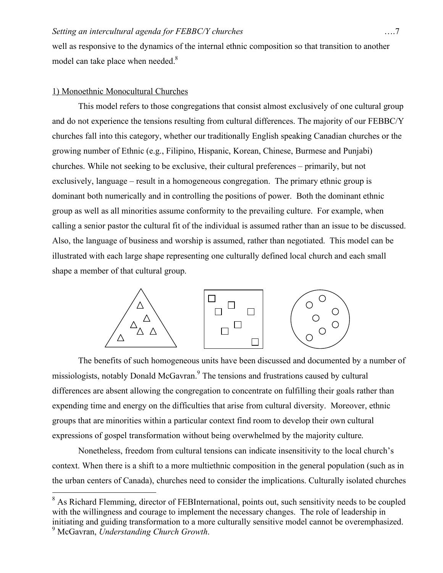well as responsive to the dynamics of the internal ethnic composition so that transition to another model can take place when needed.<sup>8</sup>

#### 1) Monoethnic Monocultural Churches

This model refers to those congregations that consist almost exclusively of one cultural group and do not experience the tensions resulting from cultural differences. The majority of our FEBBC/Y churches fall into this category, whether our traditionally English speaking Canadian churches or the growing number of Ethnic (e.g., Filipino, Hispanic, Korean, Chinese, Burmese and Punjabi) churches. While not seeking to be exclusive, their cultural preferences – primarily, but not exclusively, language – result in a homogeneous congregation. The primary ethnic group is dominant both numerically and in controlling the positions of power. Both the dominant ethnic group as well as all minorities assume conformity to the prevailing culture. For example, when calling a senior pastor the cultural fit of the individual is assumed rather than an issue to be discussed. Also, the language of business and worship is assumed, rather than negotiated. This model can be illustrated with each large shape representing one culturally defined local church and each small shape a member of that cultural group.



The benefits of such homogeneous units have been discussed and documented by a number of missiologists, notably Donald McGavran.<sup>9</sup> The tensions and frustrations caused by cultural differences are absent allowing the congregation to concentrate on fulfilling their goals rather than expending time and energy on the difficulties that arise from cultural diversity. Moreover, ethnic groups that are minorities within a particular context find room to develop their own cultural expressions of gospel transformation without being overwhelmed by the majority culture.

Nonetheless, freedom from cultural tensions can indicate insensitivity to the local church's context. When there is a shift to a more multiethnic composition in the general population (such as in the urban centers of Canada), churches need to consider the implications. Culturally isolated churches

<sup>&</sup>lt;sup>8</sup> As Richard Flemming, director of FEBInternational, points out, such sensitivity needs to be coupled with the willingness and courage to implement the necessary changes. The role of leadership in initiating and guiding transformation to a more culturally sensitive model cannot be overemphasized.

<sup>9</sup> McGavran, *Understanding Church Growth*.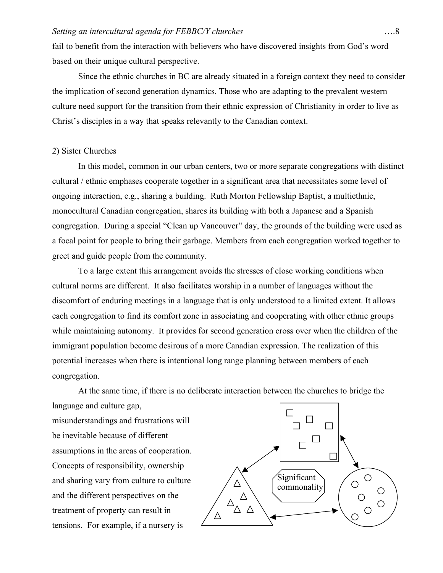fail to benefit from the interaction with believers who have discovered insights from God's word based on their unique cultural perspective.

Since the ethnic churches in BC are already situated in a foreign context they need to consider the implication of second generation dynamics. Those who are adapting to the prevalent western culture need support for the transition from their ethnic expression of Christianity in order to live as Christ's disciples in a way that speaks relevantly to the Canadian context.

## 2) Sister Churches

In this model, common in our urban centers, two or more separate congregations with distinct cultural / ethnic emphases cooperate together in a significant area that necessitates some level of ongoing interaction, e.g., sharing a building. Ruth Morton Fellowship Baptist, a multiethnic, monocultural Canadian congregation, shares its building with both a Japanese and a Spanish congregation. During a special "Clean up Vancouver" day, the grounds of the building were used as a focal point for people to bring their garbage. Members from each congregation worked together to greet and guide people from the community.

To a large extent this arrangement avoids the stresses of close working conditions when cultural norms are different. It also facilitates worship in a number of languages without the discomfort of enduring meetings in a language that is only understood to a limited extent. It allows each congregation to find its comfort zone in associating and cooperating with other ethnic groups while maintaining autonomy. It provides for second generation cross over when the children of the immigrant population become desirous of a more Canadian expression. The realization of this potential increases when there is intentional long range planning between members of each congregation.

At the same time, if there is no deliberate interaction between the churches to bridge the language and culture gap,

misunderstandings and frustrations will be inevitable because of different assumptions in the areas of cooperation. Concepts of responsibility, ownership and sharing vary from culture to culture and the different perspectives on the treatment of property can result in tensions. For example, if a nursery is

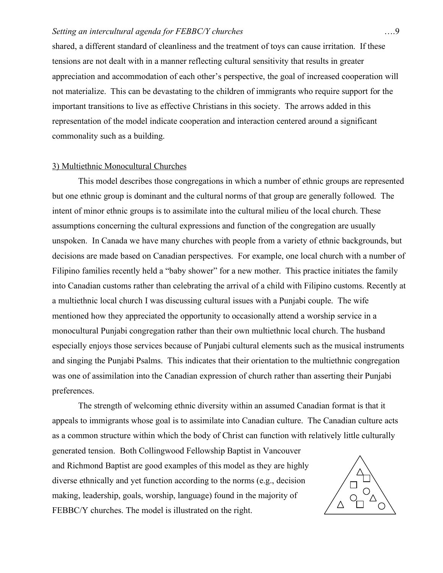shared, a different standard of cleanliness and the treatment of toys can cause irritation. If these tensions are not dealt with in a manner reflecting cultural sensitivity that results in greater appreciation and accommodation of each other's perspective, the goal of increased cooperation will not materialize. This can be devastating to the children of immigrants who require support for the important transitions to live as effective Christians in this society. The arrows added in this representation of the model indicate cooperation and interaction centered around a significant commonality such as a building.

#### 3) Multiethnic Monocultural Churches

This model describes those congregations in which a number of ethnic groups are represented but one ethnic group is dominant and the cultural norms of that group are generally followed. The intent of minor ethnic groups is to assimilate into the cultural milieu of the local church. These assumptions concerning the cultural expressions and function of the congregation are usually unspoken. In Canada we have many churches with people from a variety of ethnic backgrounds, but decisions are made based on Canadian perspectives. For example, one local church with a number of Filipino families recently held a "baby shower" for a new mother. This practice initiates the family into Canadian customs rather than celebrating the arrival of a child with Filipino customs. Recently at a multiethnic local church I was discussing cultural issues with a Punjabi couple. The wife mentioned how they appreciated the opportunity to occasionally attend a worship service in a monocultural Punjabi congregation rather than their own multiethnic local church. The husband especially enjoys those services because of Punjabi cultural elements such as the musical instruments and singing the Punjabi Psalms. This indicates that their orientation to the multiethnic congregation was one of assimilation into the Canadian expression of church rather than asserting their Punjabi preferences.

The strength of welcoming ethnic diversity within an assumed Canadian format is that it appeals to immigrants whose goal is to assimilate into Canadian culture. The Canadian culture acts as a common structure within which the body of Christ can function with relatively little culturally generated tension. Both Collingwood Fellowship Baptist in Vancouver and Richmond Baptist are good examples of this model as they are highly diverse ethnically and yet function according to the norms (e.g., decision making, leadership, goals, worship, language) found in the majority of  $\Delta$ FEBBC/Y churches. The model is illustrated on the right.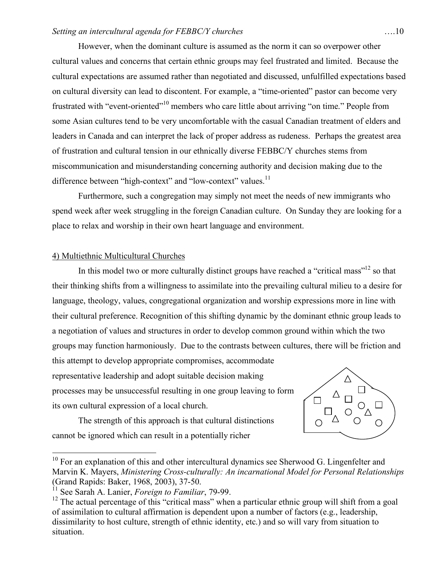However, when the dominant culture is assumed as the norm it can so overpower other cultural values and concerns that certain ethnic groups may feel frustrated and limited. Because the cultural expectations are assumed rather than negotiated and discussed, unfulfilled expectations based on cultural diversity can lead to discontent. For example, a "time-oriented" pastor can become very frustrated with "event-oriented"<sup>10</sup> members who care little about arriving "on time." People from some Asian cultures tend to be very uncomfortable with the casual Canadian treatment of elders and leaders in Canada and can interpret the lack of proper address as rudeness. Perhaps the greatest area of frustration and cultural tension in our ethnically diverse FEBBC/Y churches stems from miscommunication and misunderstanding concerning authority and decision making due to the difference between "high-context" and "low-context" values.<sup>11</sup>

Furthermore, such a congregation may simply not meet the needs of new immigrants who spend week after week struggling in the foreign Canadian culture. On Sunday they are looking for a place to relax and worship in their own heart language and environment.

## 4) Multiethnic Multicultural Churches

In this model two or more culturally distinct groups have reached a "critical mass"<sup>12</sup> so that their thinking shifts from a willingness to assimilate into the prevailing cultural milieu to a desire for language, theology, values, congregational organization and worship expressions more in line with their cultural preference. Recognition of this shifting dynamic by the dominant ethnic group leads to a negotiation of values and structures in order to develop common ground within which the two groups may function harmoniously. Due to the contrasts between cultures, there will be friction and this attempt to develop appropriate compromises, accommodate representative leadership and adopt suitable decision making processes may be unsuccessful resulting in one group leaving to form

its own cultural expression of a local church.



The strength of this approach is that cultural distinctions cannot be ignored which can result in a potentially richer

 $10$  For an explanation of this and other intercultural dynamics see Sherwood G. Lingenfelter and Marvin K. Mayers, *Ministering Cross-culturally: An incarnational Model for Personal Relationships* (Grand Rapids: Baker, 1968, 2003), 37-50.<br><sup>11</sup> See Sarah A. Lanier, *Foreign to Familiar*, 79-99.

<sup>&</sup>lt;sup>12</sup> The actual percentage of this "critical mass" when a particular ethnic group will shift from a goal of assimilation to cultural affirmation is dependent upon a number of factors (e.g., leadership, dissimilarity to host culture, strength of ethnic identity, etc.) and so will vary from situation to situation.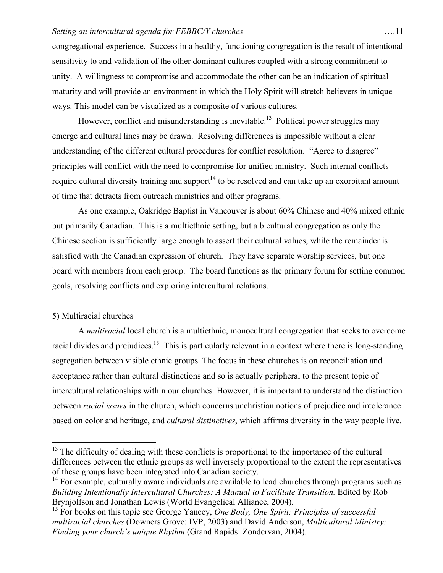congregational experience. Success in a healthy, functioning congregation is the result of intentional sensitivity to and validation of the other dominant cultures coupled with a strong commitment to unity. A willingness to compromise and accommodate the other can be an indication of spiritual maturity and will provide an environment in which the Holy Spirit will stretch believers in unique ways. This model can be visualized as a composite of various cultures.

However, conflict and misunderstanding is inevitable.<sup>13</sup> Political power struggles may emerge and cultural lines may be drawn. Resolving differences is impossible without a clear understanding of the different cultural procedures for conflict resolution. "Agree to disagree" principles will conflict with the need to compromise for unified ministry. Such internal conflicts require cultural diversity training and support<sup>14</sup> to be resolved and can take up an exorbitant amount of time that detracts from outreach ministries and other programs.

As one example, Oakridge Baptist in Vancouver is about 60% Chinese and 40% mixed ethnic but primarily Canadian. This is a multiethnic setting, but a bicultural congregation as only the Chinese section is sufficiently large enough to assert their cultural values, while the remainder is satisfied with the Canadian expression of church. They have separate worship services, but one board with members from each group. The board functions as the primary forum for setting common goals, resolving conflicts and exploring intercultural relations.

## 5) Multiracial churches

A *multiracial* local church is a multiethnic, monocultural congregation that seeks to overcome racial divides and prejudices.<sup>15</sup> This is particularly relevant in a context where there is long-standing segregation between visible ethnic groups. The focus in these churches is on reconciliation and acceptance rather than cultural distinctions and so is actually peripheral to the present topic of intercultural relationships within our churches. However, it is important to understand the distinction between *racial issues* in the church, which concerns unchristian notions of prejudice and intolerance based on color and heritage, and *cultural distinctives*, which affirms diversity in the way people live.

<sup>&</sup>lt;sup>13</sup> The difficulty of dealing with these conflicts is proportional to the importance of the cultural differences between the ethnic groups as well inversely proportional to the extent the representatives of these groups have been integrated into Canadian society.

 $14$  For example, culturally aware individuals are available to lead churches through programs such as *Building Intentionally Intercultural Churches: A Manual to Facilitate Transition.* Edited by Rob Brynjolfson and Jonathan Lewis (World Evangelical Alliance, 2004).

<sup>15</sup> For books on this topic see George Yancey, *One Body, One Spirit: Principles of successful multiracial churches* (Downers Grove: IVP, 2003) and David Anderson, *Multicultural Ministry: Finding your church's unique Rhythm* (Grand Rapids: Zondervan, 2004).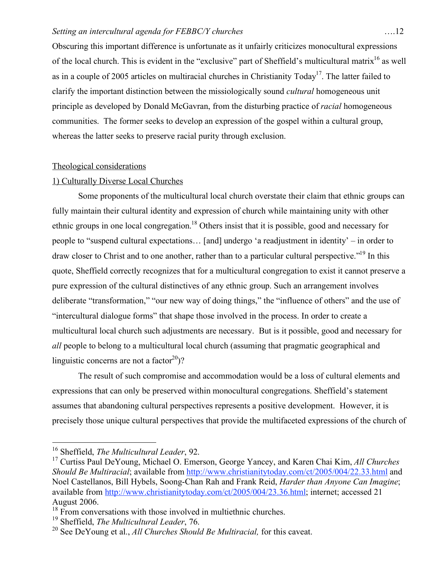Obscuring this important difference is unfortunate as it unfairly criticizes monocultural expressions of the local church. This is evident in the "exclusive" part of Sheffield's multicultural matrix<sup>16</sup> as well as in a couple of 2005 articles on multiracial churches in Christianity Today<sup>17</sup>. The latter failed to clarify the important distinction between the missiologically sound *cultural* homogeneous unit principle as developed by Donald McGavran, from the disturbing practice of *racial* homogeneous communities. The former seeks to develop an expression of the gospel within a cultural group, whereas the latter seeks to preserve racial purity through exclusion.

#### Theological considerations

## 1) Culturally Diverse Local Churches

Some proponents of the multicultural local church overstate their claim that ethnic groups can fully maintain their cultural identity and expression of church while maintaining unity with other ethnic groups in one local congregation.<sup>18</sup> Others insist that it is possible, good and necessary for people to "suspend cultural expectations… [and] undergo 'a readjustment in identity' – in order to draw closer to Christ and to one another, rather than to a particular cultural perspective."19 In this quote, Sheffield correctly recognizes that for a multicultural congregation to exist it cannot preserve a pure expression of the cultural distinctives of any ethnic group. Such an arrangement involves deliberate "transformation," "our new way of doing things," the "influence of others" and the use of "intercultural dialogue forms" that shape those involved in the process. In order to create a multicultural local church such adjustments are necessary. But is it possible, good and necessary for *all* people to belong to a multicultural local church (assuming that pragmatic geographical and linguistic concerns are not a factor<sup>20</sup>)?

The result of such compromise and accommodation would be a loss of cultural elements and expressions that can only be preserved within monocultural congregations. Sheffield's statement assumes that abandoning cultural perspectives represents a positive development. However, it is precisely those unique cultural perspectives that provide the multifaceted expressions of the church of

 <sup>16</sup> Sheffield, *The Multicultural Leader*, 92.

<sup>17</sup> Curtiss Paul DeYoung, Michael O. Emerson, George Yancey, and Karen Chai Kim, *All Churches Should Be Multiracial*; available from http://www.christianitytoday.com/ct/2005/004/22.33.html and Noel Castellanos, Bill Hybels, Soong-Chan Rah and Frank Reid, *Harder than Anyone Can Imagine*; available from http://www.christianitytoday.com/ct/2005/004/23.36.html; internet; accessed 21 August 2006.

<sup>&</sup>lt;sup>18</sup> From conversations with those involved in multiethnic churches.

<sup>19</sup> Sheffield, *The Multicultural Leader*, 76.

<sup>20</sup> See DeYoung et al., *All Churches Should Be Multiracial,* for this caveat.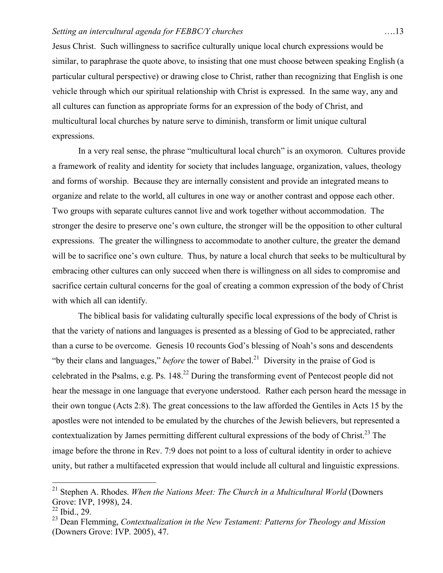Jesus Christ. Such willingness to sacrifice culturally unique local church expressions would be similar, to paraphrase the quote above, to insisting that one must choose between speaking English (a particular cultural perspective) or drawing close to Christ, rather than recognizing that English is one vehicle through which our spiritual relationship with Christ is expressed. In the same way, any and all cultures can function as appropriate forms for an expression of the body of Christ, and multicultural local churches by nature serve to diminish, transform or limit unique cultural expressions.

In a very real sense, the phrase "multicultural local church" is an oxymoron. Cultures provide a framework of reality and identity for society that includes language, organization, values, theology and forms of worship. Because they are internally consistent and provide an integrated means to organize and relate to the world, all cultures in one way or another contrast and oppose each other. Two groups with separate cultures cannot live and work together without accommodation. The stronger the desire to preserve one's own culture, the stronger will be the opposition to other cultural expressions. The greater the willingness to accommodate to another culture, the greater the demand will be to sacrifice one's own culture. Thus, by nature a local church that seeks to be multicultural by embracing other cultures can only succeed when there is willingness on all sides to compromise and sacrifice certain cultural concerns for the goal of creating a common expression of the body of Christ with which all can identify.

The biblical basis for validating culturally specific local expressions of the body of Christ is that the variety of nations and languages is presented as a blessing of God to be appreciated, rather than a curse to be overcome. Genesis 10 recounts God's blessing of Noah's sons and descendents "by their clans and languages," *before* the tower of Babel.<sup>21</sup> Diversity in the praise of God is celebrated in the Psalms, e.g. Ps.  $148<sup>22</sup>$  During the transforming event of Pentecost people did not hear the message in one language that everyone understood. Rather each person heard the message in their own tongue (Acts 2:8). The great concessions to the law afforded the Gentiles in Acts 15 by the apostles were not intended to be emulated by the churches of the Jewish believers, but represented a contextualization by James permitting different cultural expressions of the body of Christ.<sup>23</sup> The image before the throne in Rev. 7:9 does not point to a loss of cultural identity in order to achieve unity, but rather a multifaceted expression that would include all cultural and linguistic expressions.

 <sup>21</sup> Stephen A. Rhodes. *When the Nations Meet: The Church in a Multicultural World* (Downers Grove: IVP, 1998), 24.

<sup>22</sup> Ibid., 29.

<sup>23</sup> Dean Flemming, *Contextualization in the New Testament: Patterns for Theology and Mission* (Downers Grove: IVP. 2005), 47.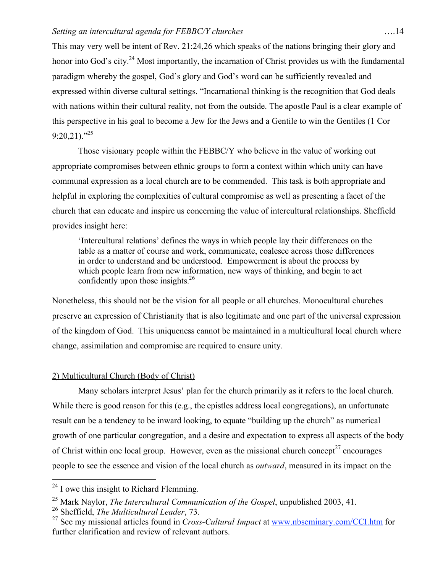This may very well be intent of Rev. 21:24,26 which speaks of the nations bringing their glory and honor into God's city.<sup>24</sup> Most importantly, the incarnation of Christ provides us with the fundamental paradigm whereby the gospel, God's glory and God's word can be sufficiently revealed and expressed within diverse cultural settings. "Incarnational thinking is the recognition that God deals with nations within their cultural reality, not from the outside. The apostle Paul is a clear example of this perspective in his goal to become a Jew for the Jews and a Gentile to win the Gentiles (1 Cor  $9:20.21$ ."<sup>25</sup>

Those visionary people within the FEBBC/Y who believe in the value of working out appropriate compromises between ethnic groups to form a context within which unity can have communal expression as a local church are to be commended. This task is both appropriate and helpful in exploring the complexities of cultural compromise as well as presenting a facet of the church that can educate and inspire us concerning the value of intercultural relationships. Sheffield provides insight here:

'Intercultural relations' defines the ways in which people lay their differences on the table as a matter of course and work, communicate, coalesce across those differences in order to understand and be understood. Empowerment is about the process by which people learn from new information, new ways of thinking, and begin to act confidently upon those insights.<sup>26</sup>

Nonetheless, this should not be the vision for all people or all churches. Monocultural churches preserve an expression of Christianity that is also legitimate and one part of the universal expression of the kingdom of God. This uniqueness cannot be maintained in a multicultural local church where change, assimilation and compromise are required to ensure unity.

## 2) Multicultural Church (Body of Christ)

Many scholars interpret Jesus' plan for the church primarily as it refers to the local church. While there is good reason for this (e.g., the epistles address local congregations), an unfortunate result can be a tendency to be inward looking, to equate "building up the church" as numerical growth of one particular congregation, and a desire and expectation to express all aspects of the body of Christ within one local group. However, even as the missional church concept<sup>27</sup> encourages people to see the essence and vision of the local church as *outward*, measured in its impact on the

26 Sheffield, *The Multicultural Leader*, 73.

 $24$  I owe this insight to Richard Flemming.

<sup>25</sup> Mark Naylor, *The Intercultural Communication of the Gospel*, unpublished 2003, 41.

<sup>27</sup> See my missional articles found in *Cross-Cultural Impact* at www.nbseminary.com/CCI.htm for further clarification and review of relevant authors.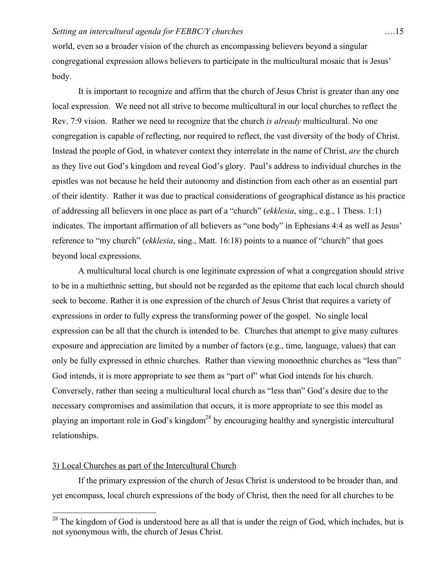world, even so a broader vision of the church as encompassing believers beyond a singular congregational expression allows believers to participate in the multicultural mosaic that is Jesus' body.

It is important to recognize and affirm that the church of Jesus Christ is greater than any one local expression. We need not all strive to become multicultural in our local churches to reflect the Rev. 7:9 vision. Rather we need to recognize that the church *is already* multicultural. No one congregation is capable of reflecting, nor required to reflect, the vast diversity of the body of Christ. Instead the people of God, in whatever context they interrelate in the name of Christ, *are* the church as they live out God's kingdom and reveal God's glory. Paul's address to individual churches in the epistles was not because he held their autonomy and distinction from each other as an essential part of their identity. Rather it was due to practical considerations of geographical distance as his practice of addressing all believers in one place as part of a "church" (*ekklesia*, sing., e.g., 1 Thess. 1:1) indicates. The important affirmation of all believers as "one body" in Ephesians 4:4 as well as Jesus' reference to "my church" (*ekklesia*, sing., Matt. 16:18) points to a nuance of "church" that goes beyond local expressions.

A multicultural local church is one legitimate expression of what a congregation should strive to be in a multiethnic setting, but should not be regarded as the epitome that each local church should seek to become. Rather it is one expression of the church of Jesus Christ that requires a variety of expressions in order to fully express the transforming power of the gospel. No single local expression can be all that the church is intended to be. Churches that attempt to give many cultures exposure and appreciation are limited by a number of factors (e.g., time, language, values) that can only be fully expressed in ethnic churches. Rather than viewing monoethnic churches as "less than" God intends, it is more appropriate to see them as "part of" what God intends for his church. Conversely, rather than seeing a multicultural local church as "less than" God's desire due to the necessary compromises and assimilation that occurs, it is more appropriate to see this model as playing an important role in God's kingdom<sup>28</sup> by encouraging healthy and synergistic intercultural relationships.

## 3) Local Churches as part of the Intercultural Church

If the primary expression of the church of Jesus Christ is understood to be broader than, and yet encompass, local church expressions of the body of Christ, then the need for all churches to be

<sup>&</sup>lt;sup>28</sup> The kingdom of God is understood here as all that is under the reign of God, which includes, but is not synonymous with, the church of Jesus Christ.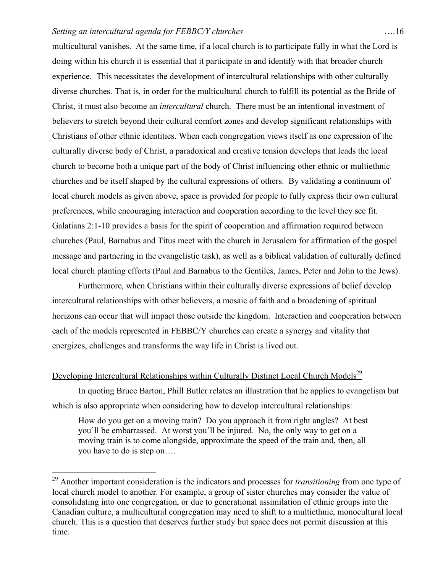multicultural vanishes. At the same time, if a local church is to participate fully in what the Lord is doing within his church it is essential that it participate in and identify with that broader church experience. This necessitates the development of intercultural relationships with other culturally diverse churches. That is, in order for the multicultural church to fulfill its potential as the Bride of Christ, it must also become an *intercultural* church. There must be an intentional investment of believers to stretch beyond their cultural comfort zones and develop significant relationships with Christians of other ethnic identities. When each congregation views itself as one expression of the culturally diverse body of Christ, a paradoxical and creative tension develops that leads the local church to become both a unique part of the body of Christ influencing other ethnic or multiethnic churches and be itself shaped by the cultural expressions of others. By validating a continuum of local church models as given above, space is provided for people to fully express their own cultural preferences, while encouraging interaction and cooperation according to the level they see fit. Galatians 2:1-10 provides a basis for the spirit of cooperation and affirmation required between churches (Paul, Barnabus and Titus meet with the church in Jerusalem for affirmation of the gospel message and partnering in the evangelistic task), as well as a biblical validation of culturally defined local church planting efforts (Paul and Barnabus to the Gentiles, James, Peter and John to the Jews).

Furthermore, when Christians within their culturally diverse expressions of belief develop intercultural relationships with other believers, a mosaic of faith and a broadening of spiritual horizons can occur that will impact those outside the kingdom. Interaction and cooperation between each of the models represented in FEBBC/Y churches can create a synergy and vitality that energizes, challenges and transforms the way life in Christ is lived out.

## Developing Intercultural Relationships within Culturally Distinct Local Church Models<sup>29</sup>

In quoting Bruce Barton, Phill Butler relates an illustration that he applies to evangelism but which is also appropriate when considering how to develop intercultural relationships:

How do you get on a moving train? Do you approach it from right angles? At best you'll be embarrassed. At worst you'll be injured. No, the only way to get on a moving train is to come alongside, approximate the speed of the train and, then, all you have to do is step on….

 <sup>29</sup> Another important consideration is the indicators and processes for *transitioning* from one type of local church model to another. For example, a group of sister churches may consider the value of consolidating into one congregation, or due to generational assimilation of ethnic groups into the Canadian culture, a multicultural congregation may need to shift to a multiethnic, monocultural local church. This is a question that deserves further study but space does not permit discussion at this time.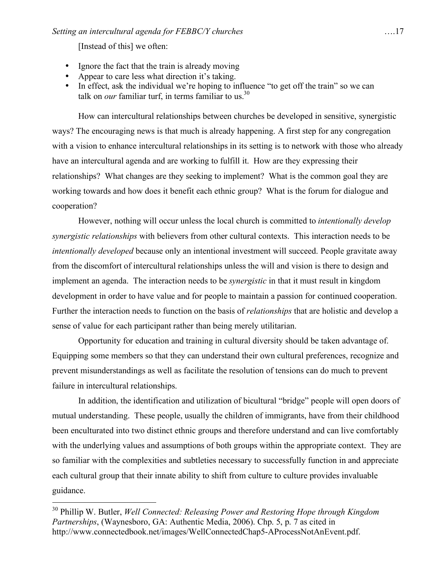[Instead of this] we often:

- Ignore the fact that the train is already moving
- Appear to care less what direction it's taking.
- In effect, ask the individual we're hoping to influence "to get off the train" so we can talk on *our* familiar turf, in terms familiar to us.<sup>30</sup>

How can intercultural relationships between churches be developed in sensitive, synergistic ways? The encouraging news is that much is already happening. A first step for any congregation with a vision to enhance intercultural relationships in its setting is to network with those who already have an intercultural agenda and are working to fulfill it. How are they expressing their relationships? What changes are they seeking to implement? What is the common goal they are working towards and how does it benefit each ethnic group? What is the forum for dialogue and cooperation?

However, nothing will occur unless the local church is committed to *intentionally develop synergistic relationships* with believers from other cultural contexts. This interaction needs to be *intentionally developed* because only an intentional investment will succeed. People gravitate away from the discomfort of intercultural relationships unless the will and vision is there to design and implement an agenda. The interaction needs to be *synergistic* in that it must result in kingdom development in order to have value and for people to maintain a passion for continued cooperation. Further the interaction needs to function on the basis of *relationships* that are holistic and develop a sense of value for each participant rather than being merely utilitarian.

Opportunity for education and training in cultural diversity should be taken advantage of. Equipping some members so that they can understand their own cultural preferences, recognize and prevent misunderstandings as well as facilitate the resolution of tensions can do much to prevent failure in intercultural relationships.

In addition, the identification and utilization of bicultural "bridge" people will open doors of mutual understanding. These people, usually the children of immigrants, have from their childhood been enculturated into two distinct ethnic groups and therefore understand and can live comfortably with the underlying values and assumptions of both groups within the appropriate context. They are so familiar with the complexities and subtleties necessary to successfully function in and appreciate each cultural group that their innate ability to shift from culture to culture provides invaluable guidance.

 <sup>30</sup> Phillip W. Butler, *Well Connected: Releasing Power and Restoring Hope through Kingdom Partnerships*, (Waynesboro, GA: Authentic Media, 2006). Chp. 5, p. 7 as cited in http://www.connectedbook.net/images/WellConnectedChap5-AProcessNotAnEvent.pdf.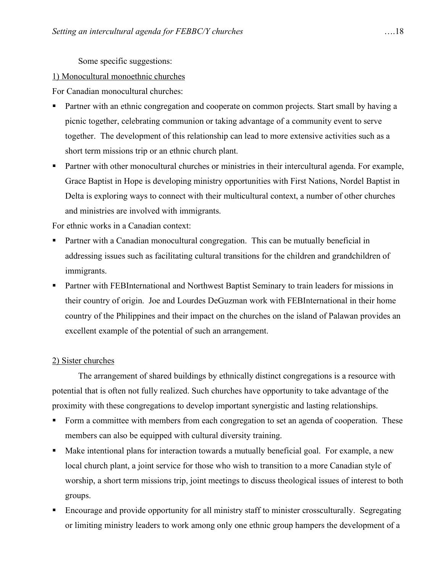Some specific suggestions:

## 1) Monocultural monoethnic churches

For Canadian monocultural churches:

- Partner with an ethnic congregation and cooperate on common projects. Start small by having a picnic together, celebrating communion or taking advantage of a community event to serve together. The development of this relationship can lead to more extensive activities such as a short term missions trip or an ethnic church plant.
- **Partner with other monocultural churches or ministries in their intercultural agenda. For example,** Grace Baptist in Hope is developing ministry opportunities with First Nations, Nordel Baptist in Delta is exploring ways to connect with their multicultural context, a number of other churches and ministries are involved with immigrants.

For ethnic works in a Canadian context:

- Partner with a Canadian monocultural congregation. This can be mutually beneficial in addressing issues such as facilitating cultural transitions for the children and grandchildren of immigrants.
- **Partner with FEBInternational and Northwest Baptist Seminary to train leaders for missions in** their country of origin. Joe and Lourdes DeGuzman work with FEBInternational in their home country of the Philippines and their impact on the churches on the island of Palawan provides an excellent example of the potential of such an arrangement.

## 2) Sister churches

The arrangement of shared buildings by ethnically distinct congregations is a resource with potential that is often not fully realized. Such churches have opportunity to take advantage of the proximity with these congregations to develop important synergistic and lasting relationships.

- Form a committee with members from each congregation to set an agenda of cooperation. These members can also be equipped with cultural diversity training.
- Make intentional plans for interaction towards a mutually beneficial goal. For example, a new local church plant, a joint service for those who wish to transition to a more Canadian style of worship, a short term missions trip, joint meetings to discuss theological issues of interest to both groups.
- Encourage and provide opportunity for all ministry staff to minister crossculturally. Segregating or limiting ministry leaders to work among only one ethnic group hampers the development of a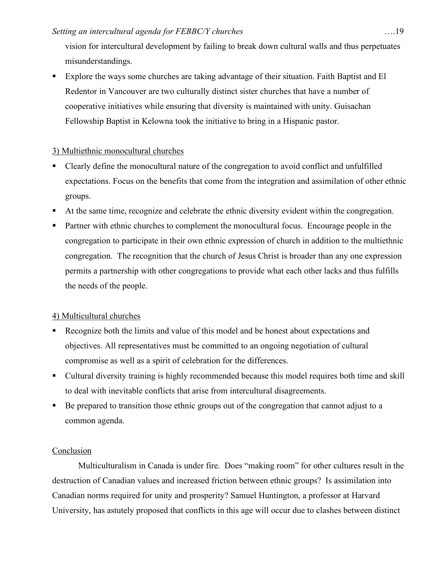vision for intercultural development by failing to break down cultural walls and thus perpetuates misunderstandings.

 Explore the ways some churches are taking advantage of their situation. Faith Baptist and El Redentor in Vancouver are two culturally distinct sister churches that have a number of cooperative initiatives while ensuring that diversity is maintained with unity. Guisachan Fellowship Baptist in Kelowna took the initiative to bring in a Hispanic pastor.

## 3) Multiethnic monocultural churches

- Clearly define the monocultural nature of the congregation to avoid conflict and unfulfilled expectations. Focus on the benefits that come from the integration and assimilation of other ethnic groups.
- At the same time, recognize and celebrate the ethnic diversity evident within the congregation.
- Partner with ethnic churches to complement the monocultural focus. Encourage people in the congregation to participate in their own ethnic expression of church in addition to the multiethnic congregation. The recognition that the church of Jesus Christ is broader than any one expression permits a partnership with other congregations to provide what each other lacks and thus fulfills the needs of the people.

## 4) Multicultural churches

- Recognize both the limits and value of this model and be honest about expectations and objectives. All representatives must be committed to an ongoing negotiation of cultural compromise as well as a spirit of celebration for the differences.
- Cultural diversity training is highly recommended because this model requires both time and skill to deal with inevitable conflicts that arise from intercultural disagreements.
- Be prepared to transition those ethnic groups out of the congregation that cannot adjust to a common agenda.

## Conclusion

Multiculturalism in Canada is under fire. Does "making room" for other cultures result in the destruction of Canadian values and increased friction between ethnic groups? Is assimilation into Canadian norms required for unity and prosperity? Samuel Huntington, a professor at Harvard University, has astutely proposed that conflicts in this age will occur due to clashes between distinct